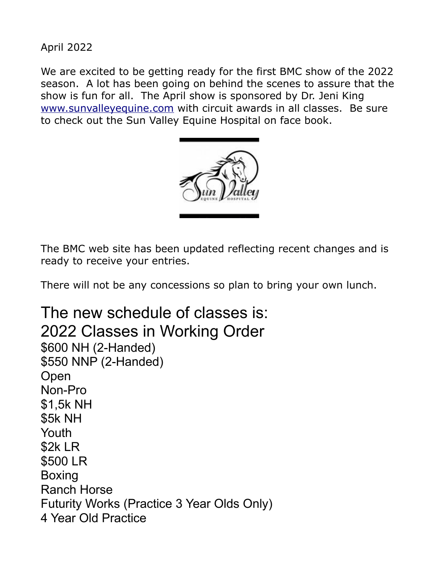April 2022

We are excited to be getting ready for the first BMC show of the 2022 season. A lot has been going on behind the scenes to assure that the show is fun for all. The April show is sponsored by Dr. Jeni King [www.sunvalleyequine.com](http://www.sunvalleyequine.com/) with circuit awards in all classes. Be sure to check out the Sun Valley Equine Hospital on face book.



The BMC web site has been updated reflecting recent changes and is ready to receive your entries.

There will not be any concessions so plan to bring your own lunch.

The new schedule of classes is: 2022 Classes in Working Order \$600 NH (2-Handed) \$550 NNP (2-Handed) Open Non-Pro \$1,5k NH \$5k NH Youth \$2k LR \$500 LR Boxing Ranch Horse Futurity Works (Practice 3 Year Olds Only) 4 Year Old Practice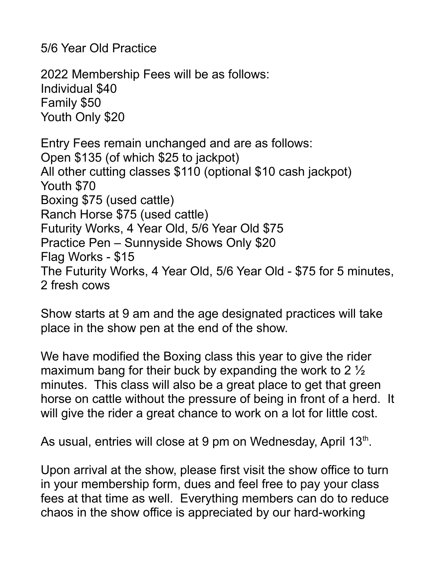5/6 Year Old Practice

2022 Membership Fees will be as follows: Individual \$40 Family \$50 Youth Only \$20

Entry Fees remain unchanged and are as follows: Open \$135 (of which \$25 to jackpot) All other cutting classes \$110 (optional \$10 cash jackpot) Youth \$70 Boxing \$75 (used cattle) Ranch Horse \$75 (used cattle) Futurity Works, 4 Year Old, 5/6 Year Old \$75 Practice Pen – Sunnyside Shows Only \$20 Flag Works - \$15 The Futurity Works, 4 Year Old, 5/6 Year Old - \$75 for 5 minutes, 2 fresh cows

Show starts at 9 am and the age designated practices will take place in the show pen at the end of the show.

We have modified the Boxing class this year to give the rider maximum bang for their buck by expanding the work to 2  $\frac{1}{2}$ minutes. This class will also be a great place to get that green horse on cattle without the pressure of being in front of a herd. It will give the rider a great chance to work on a lot for little cost.

As usual, entries will close at 9 pm on Wednesday, April 13<sup>th</sup>.

Upon arrival at the show, please first visit the show office to turn in your membership form, dues and feel free to pay your class fees at that time as well. Everything members can do to reduce chaos in the show office is appreciated by our hard-working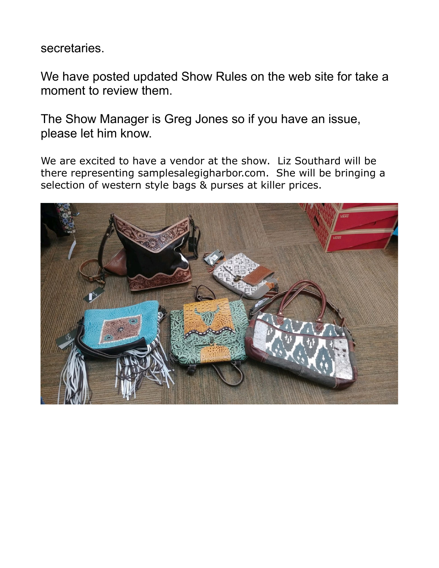secretaries.

We have posted updated Show Rules on the web site for take a moment to review them.

The Show Manager is Greg Jones so if you have an issue, please let him know.

We are excited to have a vendor at the show. Liz Southard will be there representing samplesalegigharbor.com. She will be bringing a selection of western style bags & purses at killer prices.